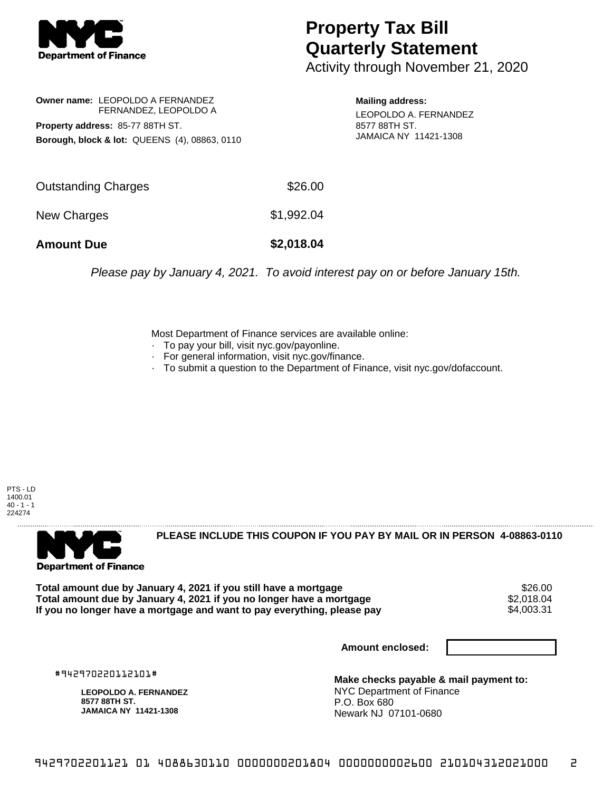

## **Property Tax Bill Quarterly Statement**

Activity through November 21, 2020

**Owner name:** LEOPOLDO A FERNANDEZ FERNANDEZ, LEOPOLDO A **Property address:** 85-77 88TH ST. **Borough, block & lot:** QUEENS (4), 08863, 0110

**Mailing address:** LEOPOLDO A. FERNANDEZ 8577 88TH ST. JAMAICA NY 11421-1308

| <b>Amount Due</b>   | \$2,018.04 |
|---------------------|------------|
| New Charges         | \$1,992.04 |
| Outstanding Charges | \$26.00    |

Please pay by January 4, 2021. To avoid interest pay on or before January 15th.

Most Department of Finance services are available online:

- · To pay your bill, visit nyc.gov/payonline.
- For general information, visit nyc.gov/finance.
- · To submit a question to the Department of Finance, visit nyc.gov/dofaccount.

PTS - LD 1400.01  $40 - 1 - 1$ 224274



**PLEASE INCLUDE THIS COUPON IF YOU PAY BY MAIL OR IN PERSON 4-08863-0110** 

Total amount due by January 4, 2021 if you still have a mortgage **\$26.00** \$26.00<br>Total amount due by January 4, 2021 if you no longer have a mortgage **\$2.018.04** \$2.018.04 **Total amount due by January 4, 2021 if you no longer have a mortgage**  $$2,018.04$ **<br>If you no longer have a mortgage and want to pay everything, please pay**  $$4,003.31$ If you no longer have a mortgage and want to pay everything, please pay

**Amount enclosed:**

#942970220112101#

**LEOPOLDO A. FERNANDEZ 8577 88TH ST. JAMAICA NY 11421-1308**

**Make checks payable & mail payment to:** NYC Department of Finance P.O. Box 680 Newark NJ 07101-0680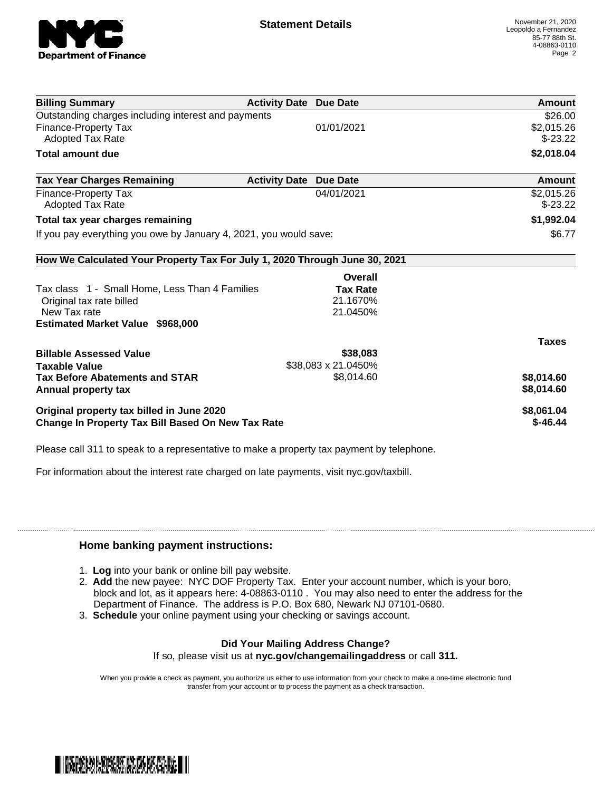

| <b>Billing Summary</b>                                                     | <b>Activity Date Due Date</b> |                     | Amount       |
|----------------------------------------------------------------------------|-------------------------------|---------------------|--------------|
| Outstanding charges including interest and payments                        |                               |                     | \$26.00      |
| <b>Finance-Property Tax</b>                                                |                               | 01/01/2021          | \$2,015.26   |
| <b>Adopted Tax Rate</b>                                                    |                               |                     | $$-23.22$    |
| <b>Total amount due</b>                                                    |                               |                     | \$2,018.04   |
| <b>Tax Year Charges Remaining</b>                                          | <b>Activity Date</b>          | <b>Due Date</b>     | Amount       |
| <b>Finance-Property Tax</b>                                                |                               | 04/01/2021          | \$2,015.26   |
| <b>Adopted Tax Rate</b>                                                    |                               |                     | $$-23.22$    |
| Total tax year charges remaining                                           |                               |                     | \$1,992.04   |
| If you pay everything you owe by January 4, 2021, you would save:          |                               |                     | \$6.77       |
| How We Calculated Your Property Tax For July 1, 2020 Through June 30, 2021 |                               |                     |              |
|                                                                            |                               | Overall             |              |
| Tax class 1 - Small Home, Less Than 4 Families                             |                               | <b>Tax Rate</b>     |              |
| Original tax rate billed                                                   |                               | 21.1670%            |              |
| New Tax rate                                                               |                               | 21.0450%            |              |
| <b>Estimated Market Value \$968,000</b>                                    |                               |                     |              |
|                                                                            |                               |                     | <b>Taxes</b> |
| <b>Billable Assessed Value</b>                                             |                               | \$38,083            |              |
| <b>Taxable Value</b>                                                       |                               | \$38,083 x 21.0450% |              |
| <b>Tax Before Abatements and STAR</b>                                      |                               | \$8,014.60          | \$8,014.60   |
| Annual property tax                                                        |                               |                     | \$8,014.60   |
| Original property tax billed in June 2020                                  |                               |                     | \$8,061.04   |
| Change In Property Tax Bill Based On New Tax Rate                          |                               |                     | $$-46.44$    |

Please call 311 to speak to a representative to make a property tax payment by telephone.

For information about the interest rate charged on late payments, visit nyc.gov/taxbill.

## **Home banking payment instructions:**

- 1. **Log** into your bank or online bill pay website.
- 2. **Add** the new payee: NYC DOF Property Tax. Enter your account number, which is your boro, block and lot, as it appears here: 4-08863-0110 . You may also need to enter the address for the Department of Finance. The address is P.O. Box 680, Newark NJ 07101-0680.
- 3. **Schedule** your online payment using your checking or savings account.

## **Did Your Mailing Address Change?**

If so, please visit us at **nyc.gov/changemailingaddress** or call **311.**

When you provide a check as payment, you authorize us either to use information from your check to make a one-time electronic fund transfer from your account or to process the payment as a check transaction.